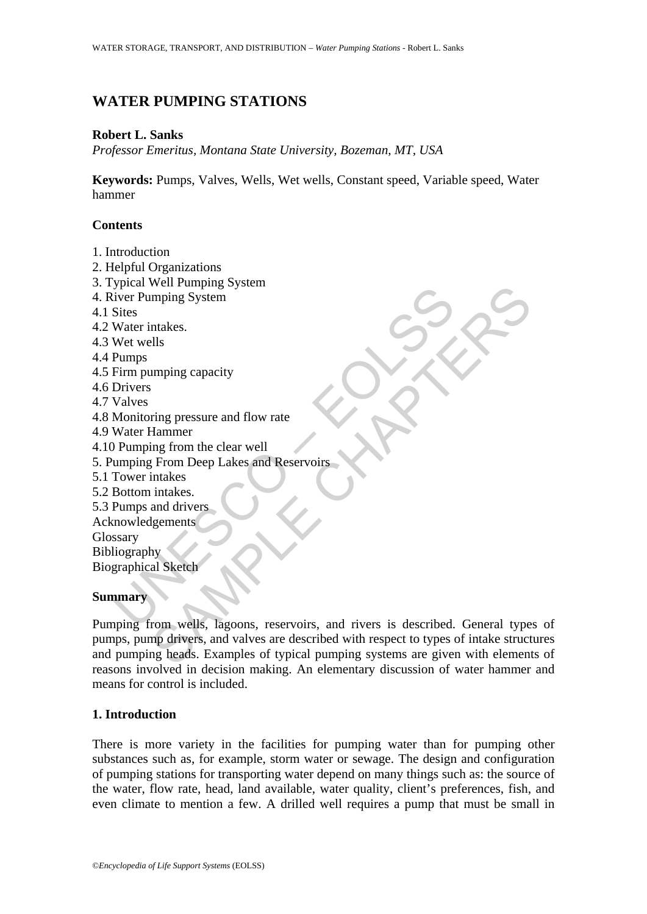# **WATER PUMPING STATIONS**

#### **Robert L. Sanks**

*Professor Emeritus, Montana State University, Bozeman, MT, USA* 

**Keywords:** Pumps, Valves, Wells, Wet wells, Constant speed, Variable speed, Water hammer

### **Contents**

- 1. Introduction
- 2. Helpful Organizations
- 3. Typical Well Pumping System
- 4. River Pumping System
- 4.1 Sites
- 4.2 Water intakes.
- 4.3 Wet wells
- 4.4 Pumps
- 4.5 Firm pumping capacity
- 4.6 Drivers
- 4.7 Valves
- 4.8 Monitoring pressure and flow rate
- 4.9 Water Hammer
- 4.10 Pumping from the clear well
- 5. Pumping From Deep Lakes and Reservoirs
- 5.1 Tower intakes
- 5.2 Bottom intakes.
- 5.3 Pumps and drivers
- Acknowledgements
- Glossary
- Bibliography
- Biographical Sketch

### **Summary**

Frame wear training System<br>
Vier Pumping System<br>
Sites<br>
Water intakes.<br>
Wet wells<br>
Eim pumping capacity<br>
Drivers<br>
Valves<br>
Monitoring pressure and flow rate<br>
Water Hammer<br>
Valves<br>
Monitoring pressure and flow rate<br>
Water Ha Wen't diply<br>myning capacity<br>intakes.<br>Ills<br>trimage from Deep Lakes and Reservoirs<br>intakes.<br>Intakes.<br>intakes.<br>intakes.<br>intakes.<br>intakes.<br>Igements<br>intakes.<br>Igements<br>intakes.<br>Igements<br>intakes.<br>Igements<br>intakes.<br>Igements<br>intake Pumping from wells, lagoons, reservoirs, and rivers is described. General types of pumps, pump drivers, and valves are described with respect to types of intake structures and pumping heads. Examples of typical pumping systems are given with elements of reasons involved in decision making. An elementary discussion of water hammer and means for control is included.

### **1. Introduction**

There is more variety in the facilities for pumping water than for pumping other substances such as, for example, storm water or sewage. The design and configuration of pumping stations for transporting water depend on many things such as: the source of the water, flow rate, head, land available, water quality, client's preferences, fish, and even climate to mention a few. A drilled well requires a pump that must be small in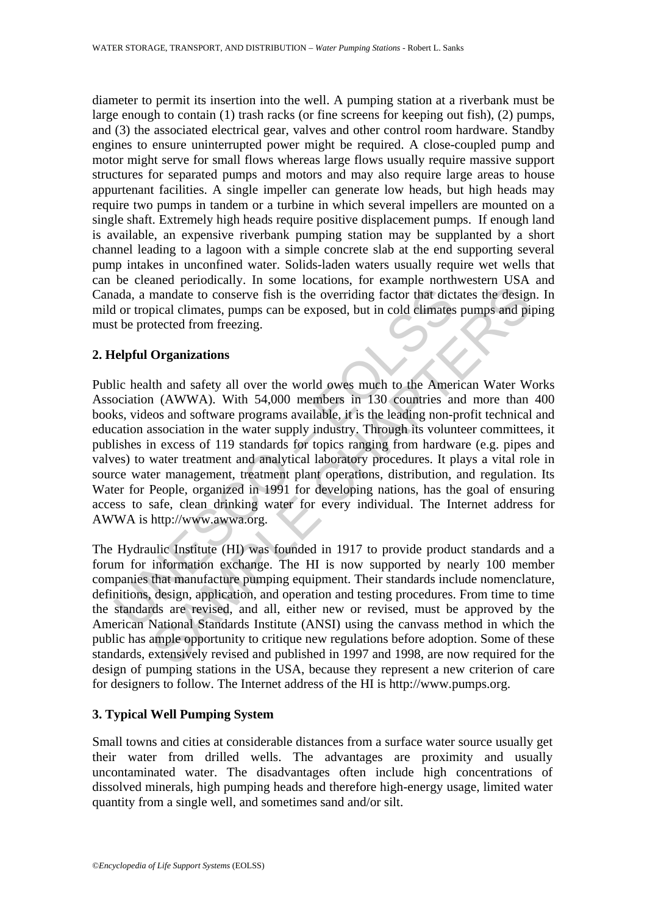diameter to permit its insertion into the well. A pumping station at a riverbank must be large enough to contain (1) trash racks (or fine screens for keeping out fish), (2) pumps, and (3) the associated electrical gear, valves and other control room hardware. Standby engines to ensure uninterrupted power might be required. A close-coupled pump and motor might serve for small flows whereas large flows usually require massive support structures for separated pumps and motors and may also require large areas to house appurtenant facilities. A single impeller can generate low heads, but high heads may require two pumps in tandem or a turbine in which several impellers are mounted on a single shaft. Extremely high heads require positive displacement pumps. If enough land is available, an expensive riverbank pumping station may be supplanted by a short channel leading to a lagoon with a simple concrete slab at the end supporting several pump intakes in unconfined water. Solids-laden waters usually require wet wells that can be cleaned periodically. In some locations, for example northwestern USA and Canada, a mandate to conserve fish is the overriding factor that dictates the design. In mild or tropical climates, pumps can be exposed, but in cold climates pumps and piping must be protected from freezing.

# **2. Helpful Organizations**

ada, a mandate to conserve fish is the overriding factor that dict<br>of the divergent of the conserve fish is the overriding factor that dict<br>or tropical climates, pumps can be exposed, but in cold climates<br>the protected fro mandate to conserve fish is the overriding factor that dictates the design<br>pical climates, pumps can be exposed, but in cold climates pumps and pi<br>betced from freezing.<br>**Organizations**<br>th and safety all over the world owe Public health and safety all over the world owes much to the American Water Works Association (AWWA). With 54,000 members in 130 countries and more than 400 books, videos and software programs available, it is the leading non-profit technical and education association in the water supply industry. Through its volunteer committees, it publishes in excess of 119 standards for topics ranging from hardware (e.g. pipes and valves) to water treatment and analytical laboratory procedures. It plays a vital role in source water management, treatment plant operations, distribution, and regulation. Its Water for People, organized in 1991 for developing nations, has the goal of ensuring access to safe, clean drinking water for every individual. The Internet address for AWWA is http://www.awwa.org.

The Hydraulic Institute (HI) was founded in 1917 to provide product standards and a forum for information exchange. The HI is now supported by nearly 100 member companies that manufacture pumping equipment. Their standards include nomenclature, definitions, design, application, and operation and testing procedures. From time to time the standards are revised, and all, either new or revised, must be approved by the American National Standards Institute (ANSI) using the canvass method in which the public has ample opportunity to critique new regulations before adoption. Some of these standards, extensively revised and published in 1997 and 1998, are now required for the design of pumping stations in the USA, because they represent a new criterion of care for designers to follow. The Internet address of the HI is http://www.pumps.org.

### **3. Typical Well Pumping System**

Small towns and cities at considerable distances from a surface water source usually get their water from drilled wells. The advantages are proximity and usually uncontaminated water. The disadvantages often include high concentrations of dissolved minerals, high pumping heads and therefore high-energy usage, limited water quantity from a single well, and sometimes sand and/or silt.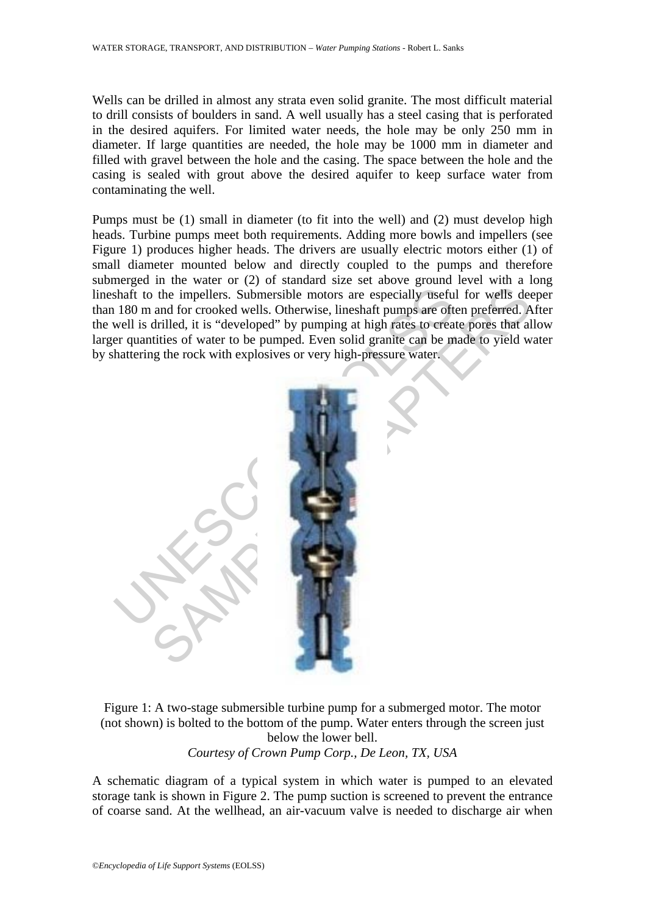Wells can be drilled in almost any strata even solid granite. The most difficult material to drill consists of boulders in sand. A well usually has a steel casing that is perforated in the desired aquifers. For limited water needs, the hole may be only 250 mm in diameter. If large quantities are needed, the hole may be 1000 mm in diameter and filled with gravel between the hole and the casing. The space between the hole and the casing is sealed with grout above the desired aquifer to keep surface water from contaminating the well.

Pumps must be (1) small in diameter (to fit into the well) and (2) must develop high heads. Turbine pumps meet both requirements. Adding more bowls and impellers (see Figure 1) produces higher heads. The drivers are usually electric motors either (1) of small diameter mounted below and directly coupled to the pumps and therefore submerged in the water or (2) of standard size set above ground level with a long lineshaft to the impellers. Submersible motors are especially useful for wells deeper than 180 m and for crooked wells. Otherwise, lineshaft pumps are often preferred. After the well is drilled, it is "developed" by pumping at high rates to create pores that allow larger quantities of water to be pumped. Even solid granite can be made to yield water by shattering the rock with explosives or very high-pressure water.



Figure 1: A two-stage submersible turbine pump for a submerged motor. The motor (not shown) is bolted to the bottom of the pump. Water enters through the screen just below the lower bell. *Courtesy of Crown Pump Corp., De Leon, TX, USA* 

A schematic diagram of a typical system in which water is pumped to an elevated storage tank is shown in Figure 2. The pump suction is screened to prevent the entrance of coarse sand. At the wellhead, an air-vacuum valve is needed to discharge air when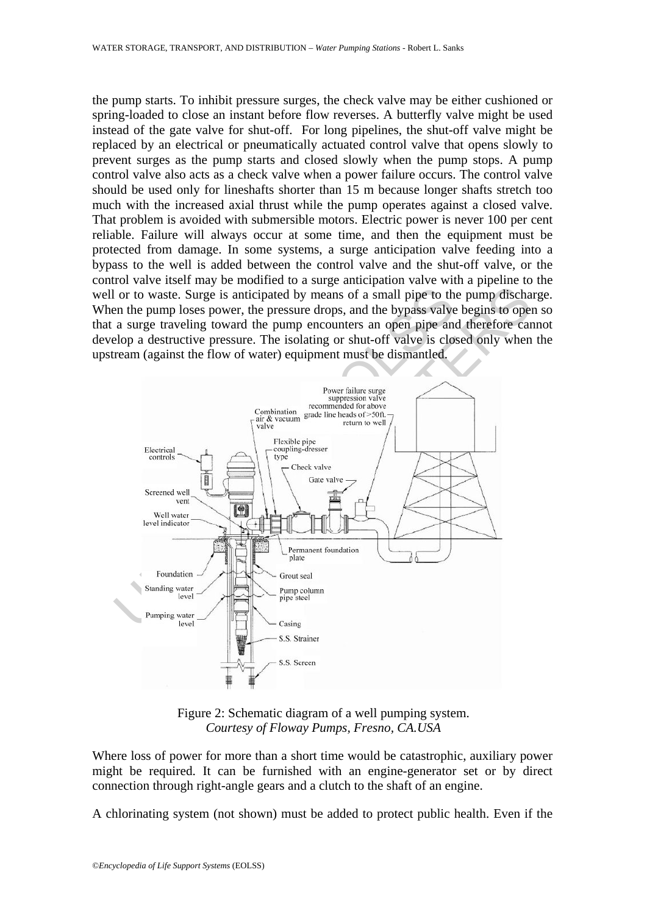the pump starts. To inhibit pressure surges, the check valve may be either cushioned or spring-loaded to close an instant before flow reverses. A butterfly valve might be used instead of the gate valve for shut-off. For long pipelines, the shut-off valve might be replaced by an electrical or pneumatically actuated control valve that opens slowly to prevent surges as the pump starts and closed slowly when the pump stops. A pump control valve also acts as a check valve when a power failure occurs. The control valve should be used only for lineshafts shorter than 15 m because longer shafts stretch too much with the increased axial thrust while the pump operates against a closed valve. That problem is avoided with submersible motors. Electric power is never 100 per cent reliable. Failure will always occur at some time, and then the equipment must be protected from damage. In some systems, a surge anticipation valve feeding into a bypass to the well is added between the control valve and the shut-off valve, or the control valve itself may be modified to a surge anticipation valve with a pipeline to the well or to waste. Surge is anticipated by means of a small pipe to the pump discharge. When the pump loses power, the pressure drops, and the bypass valve begins to open so that a surge traveling toward the pump encounters an open pipe and therefore cannot develop a destructive pressure. The isolating or shut-off valve is closed only when the upstream (against the flow of water) equipment must be dismantled.



Figure 2: Schematic diagram of a well pumping system. *Courtesy of Floway Pumps, Fresno, CA.USA* 

Where loss of power for more than a short time would be catastrophic, auxiliary power might be required. It can be furnished with an engine-generator set or by direct connection through right-angle gears and a clutch to the shaft of an engine.

A chlorinating system (not shown) must be added to protect public health. Even if the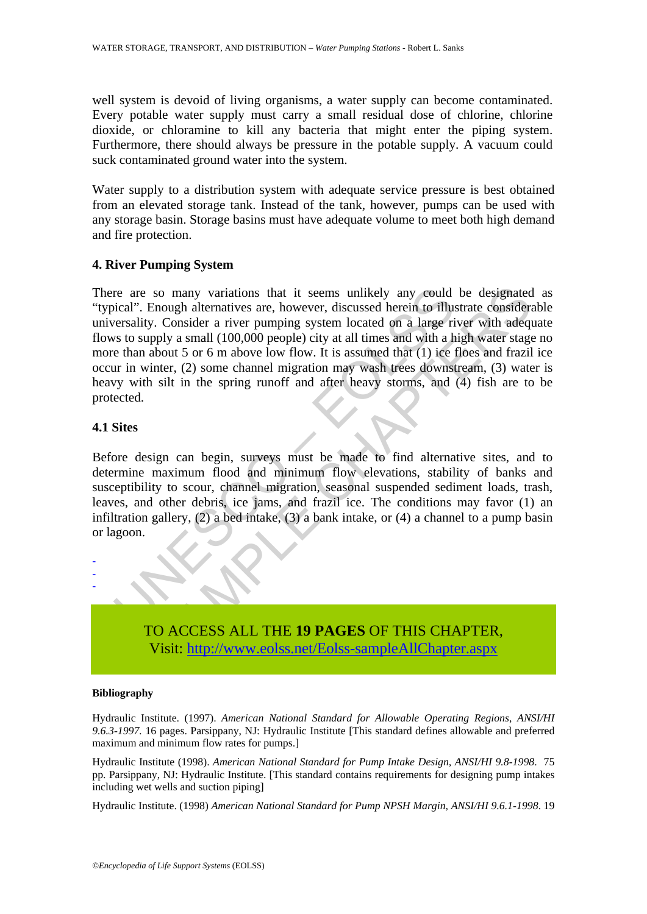well system is devoid of living organisms, a water supply can become contaminated. Every potable water supply must carry a small residual dose of chlorine, chlorine dioxide, or chloramine to kill any bacteria that might enter the piping system. Furthermore, there should always be pressure in the potable supply. A vacuum could suck contaminated ground water into the system.

Water supply to a distribution system with adequate service pressure is best obtained from an elevated storage tank. Instead of the tank, however, pumps can be used with any storage basin. Storage basins must have adequate volume to meet both high demand and fire protection.

### **4. River Pumping System**

re are so many variations that it seems unlikely any could<br>ical". Enough alternatives are, however, discussed herein to illu-<br>orestality. Consider a river pumping system located on a large ri<br>st os supply a small (100,000 so many variations that it seems unlikely any could be designated<br>Enough alternatives are, however, discussed herein to illustrate consideration<br>y. Consider a river pumping system located on a large river with a<br>depty a sm There are so many variations that it seems unlikely any could be designated as "typical". Enough alternatives are, however, discussed herein to illustrate considerable universality. Consider a river pumping system located on a large river with adequate flows to supply a small (100,000 people) city at all times and with a high water stage no more than about 5 or 6 m above low flow. It is assumed that (1) ice floes and frazil ice occur in winter, (2) some channel migration may wash trees downstream, (3) water is heavy with silt in the spring runoff and after heavy storms, and (4) fish are to be protected.

## **4.1 Sites**

- - -

Before design can begin, surveys must be made to find alternative sites, and to determine maximum flood and minimum flow elevations, stability of banks and susceptibility to scour, channel migration, seasonal suspended sediment loads, trash, leaves, and other debris, ice jams, and frazil ice. The conditions may favor (1) an infiltration gallery, (2) a bed intake, (3) a bank intake, or (4) a channel to a pump basin or lagoon.

> TO ACCESS ALL THE **19 PAGES** OF THIS CHAPTER, Visit: http://www.eolss.net/Eolss-sampleAllChapter.aspx

#### **Bibliography**

Hydraulic Institute. (1997). *American National Standard for Allowable Operating Regions*, *ANSI/HI 9.6.3-1997.* 16 pages. Parsippany, NJ: Hydraulic Institute [This standard defines allowable and preferred maximum and minimum flow rates for pumps.]

Hydraulic Institute (1998). *American National Standard for Pump Intake Design, ANSI/HI 9.8-1998*. 75 pp. Parsippany, NJ: Hydraulic Institute. [This standard contains requirements for designing pump intakes including wet wells and suction piping]

Hydraulic Institute. (1998) *American National Standard for Pump NPSH Margin, ANSI/HI 9.6.1-1998*. 19